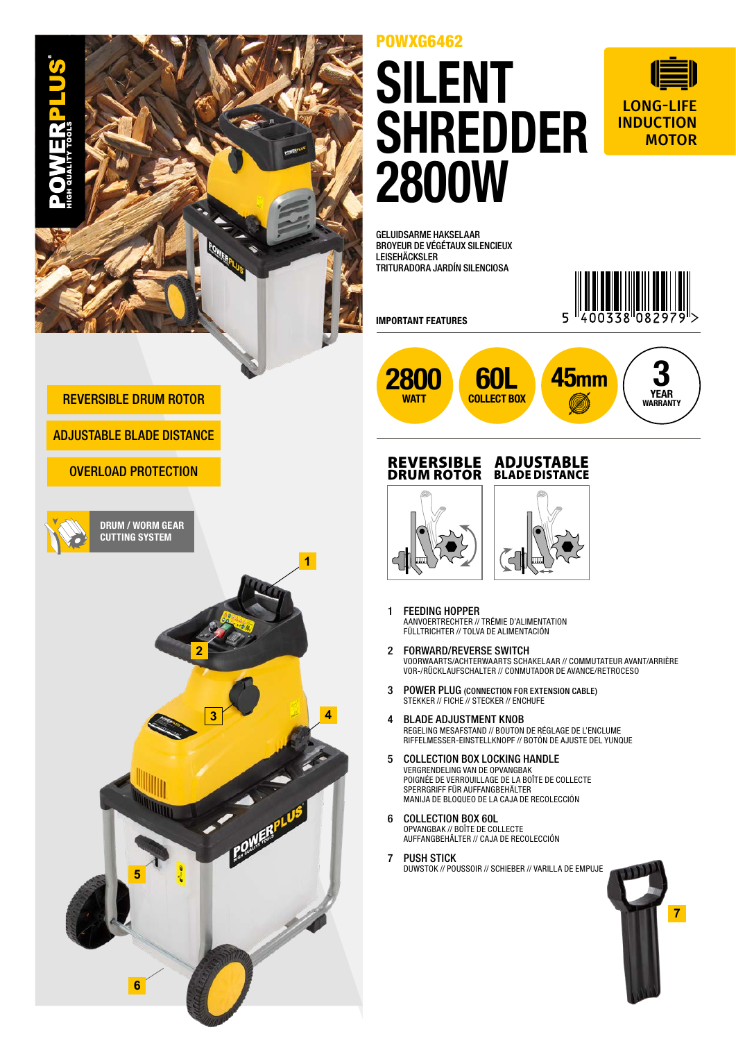

## POWXG6462

# SILENT SHREDDER 2800W



GELUIDSARME HAKSELAAR BROYEUR DE VÉGÉTAUX SILENCIEUX LEISEHÄCKSLER TRITURADORA JARDÍN SILENCIOSA



IMPORTANT FEATURES



#### REVERSIBLE DRUM ROTOR







- 1 FEEDING HOPPER AANVOERTRECHTER // TRÉMIE D'ALIMENTATION FÜLLTRICHTER // TOLVA DE ALIMENTACIÓN
- 2 FORWARD/REVERSE SWITCH VOORWAARTS/ACHTERWAARTS SCHAKELAAR // COMMUTATEUR AVANT/ARRIÈRE VOR-/RÜCKLAUFSCHALTER // CONMUTADOR DE AVANCE/RETROCESO
- 3 POWER PLUG (CONNECTION FOR EXTENSION CABLE) STEKKER // FICHE // STECKER // ENCHUFE
- 4 BLADE ADJUSTMENT KNOB REGELING MESAFSTAND // BOUTON DE RÉGLAGE DE L'ENCLUME RIFFELMESSER-EINSTELLKNOPF // BOTÓN DE AJUSTE DEL YUNQUE
- 5 COLLECTION BOX LOCKING HANDLE VERGRENDELING VAN DE OPVANGBAK POIGNÉE DE VERROUILLAGE DE LA BOÎTE DE COLLECTE SPERRGRIFF FÜR AUFFANGBEHÄLTER MANIJA DE BLOQUEO DE LA CAJA DE RECOLECCIÓN
- 6 COLLECTION BOX 60L OPVANGBAK // BOÎTE DE COLLECTE AUFFANGBEHÄLTER // CAJA DE RECOLECCIÓN
- 7 PUSH STICK DUWSTOK // POUSSOIR // SCHIEBER // VARILLA DE EMPUJE



### REVERSIBLE DRUM ROTOR

### ADJUSTABLE BLADE DISTANCE

#### OVERLOAD PROTECTION